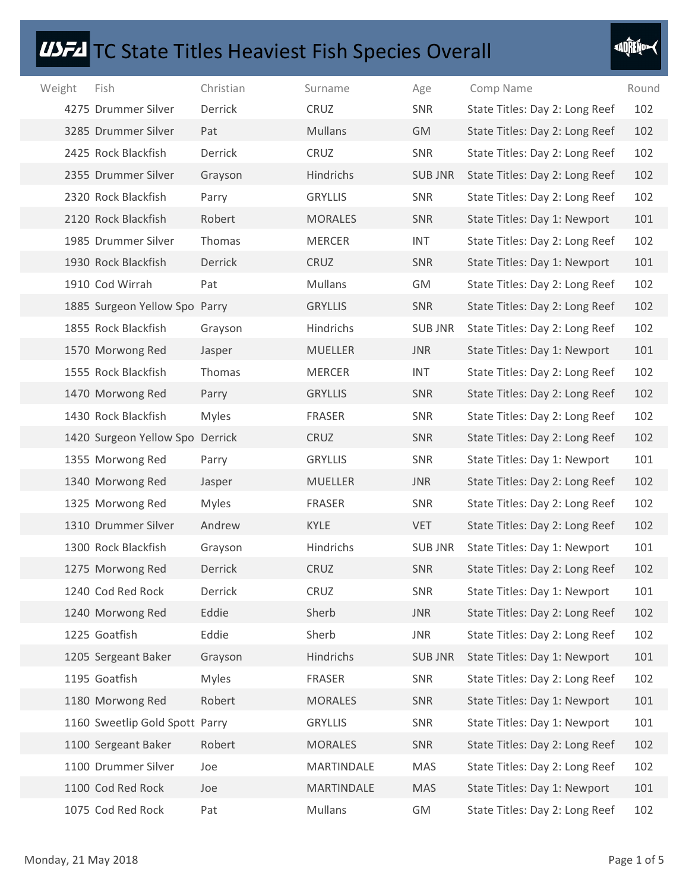## **USFA** TC State Titles Heaviest Fish Species Overall

| <b>IDFA</b> TC State Titles Heaviest Fish Species Overall |              |                |                |                                |             |
|-----------------------------------------------------------|--------------|----------------|----------------|--------------------------------|-------------|
| Weight<br>Fish                                            | Christian    | Surname        | Age            | Comp Name                      | Round       |
| 4275 Drummer Silver                                       | Derrick      | CRUZ           | <b>SNR</b>     | State Titles: Day 2: Long Reef | 102         |
| 3285 Drummer Silver                                       | Pat          | Mullans        | GM             | State Titles: Day 2: Long Reef | 102         |
| 2425 Rock Blackfish                                       | Derrick      | CRUZ           | SNR            | State Titles: Day 2: Long Reef | 102         |
| 2355 Drummer Silver                                       | Grayson      | Hindrichs      | <b>SUB JNR</b> | State Titles: Day 2: Long Reef | 102         |
| 2320 Rock Blackfish                                       | Parry        | <b>GRYLLIS</b> | SNR            | State Titles: Day 2: Long Reef | 102         |
| 2120 Rock Blackfish                                       | Robert       | <b>MORALES</b> | SNR            | State Titles: Day 1: Newport   | 101         |
| 1985 Drummer Silver                                       | Thomas       | <b>MERCER</b>  | <b>INT</b>     | State Titles: Day 2: Long Reef | 102         |
| 1930 Rock Blackfish                                       | Derrick      | CRUZ           | SNR            | State Titles: Day 1: Newport   | 101         |
| 1910 Cod Wirrah                                           | Pat          | Mullans        | GM             | State Titles: Day 2: Long Reef | 102         |
| 1885 Surgeon Yellow Spo Parry                             |              | <b>GRYLLIS</b> | <b>SNR</b>     | State Titles: Day 2: Long Reef | 102         |
| 1855 Rock Blackfish                                       | Grayson      | Hindrichs      | <b>SUB JNR</b> | State Titles: Day 2: Long Reef | 102         |
| 1570 Morwong Red                                          | Jasper       | MUELLER        | <b>JNR</b>     | State Titles: Day 1: Newport   | 101         |
| 1555 Rock Blackfish                                       | Thomas       | <b>MERCER</b>  | <b>INT</b>     | State Titles: Day 2: Long Reef | 102         |
| 1470 Morwong Red                                          | Parry        | <b>GRYLLIS</b> | SNR            | State Titles: Day 2: Long Reef | 102         |
| 1430 Rock Blackfish                                       | <b>Myles</b> | FRASER         | SNR            | State Titles: Day 2: Long Reef | 102         |
| 1420 Surgeon Yellow Spo Derrick                           |              | CRUZ           | SNR            | State Titles: Day 2: Long Reef | 102         |
| 1355 Morwong Red                                          | Parry        | <b>GRYLLIS</b> | SNR            | State Titles: Day 1: Newport   | 101         |
| 1340 Morwong Red                                          | Jasper       | MUELLER        | JNR            | State Titles: Day 2: Long Reef | 102         |
| 1325 Morwong Red                                          | <b>Myles</b> | FRASER         | SNR            | State Titles: Day 2: Long Reef | 102         |
| 1310 Drummer Silver                                       | Andrew       | KYLE           | <b>VET</b>     | State Titles: Day 2: Long Reef | 102         |
| 1300 Rock Blackfish                                       | Grayson      | Hindrichs      | <b>SUB JNR</b> | State Titles: Day 1: Newport   | 101         |
| 1275 Morwong Red                                          | Derrick      | CRUZ           | SNR            | State Titles: Day 2: Long Reef | 102         |
| 1240 Cod Red Rock                                         | Derrick      | CRUZ           | SNR            | State Titles: Day 1: Newport   | 101         |
| 1240 Morwong Red                                          | Eddie        | Sherb          | JNR            | State Titles: Day 2: Long Reef | 102         |
| 1225 Goatfish                                             | Eddie        | Sherb          | <b>JNR</b>     | State Titles: Day 2: Long Reef | 102         |
| 1205 Sergeant Baker                                       | Grayson      | Hindrichs      | <b>SUB JNR</b> | State Titles: Day 1: Newport   | 101         |
| 1195 Goatfish                                             | <b>Myles</b> | FRASER         | SNR            | State Titles: Day 2: Long Reef | 102         |
| 1180 Morwong Red                                          | Robert       | <b>MORALES</b> | SNR            | State Titles: Day 1: Newport   | 101         |
| 1160 Sweetlip Gold Spott Parry                            |              | <b>GRYLLIS</b> | SNR            | State Titles: Day 1: Newport   | 101         |
| 1100 Sergeant Baker                                       | Robert       | <b>MORALES</b> | SNR            | State Titles: Day 2: Long Reef | 102         |
| 1100 Drummer Silver                                       | Joe          | MARTINDALE     | MAS            | State Titles: Day 2: Long Reef | 102         |
| 1100 Cod Red Rock                                         | Joe          | MARTINDALE     | MAS            | State Titles: Day 1: Newport   | 101         |
| 1075 Cod Red Rock                                         | Pat          | <b>Mullans</b> | GM             | State Titles: Day 2: Long Reef | 102         |
|                                                           |              |                |                |                                |             |
| Monday, 21 May 2018                                       |              |                |                |                                | Page 1 of 5 |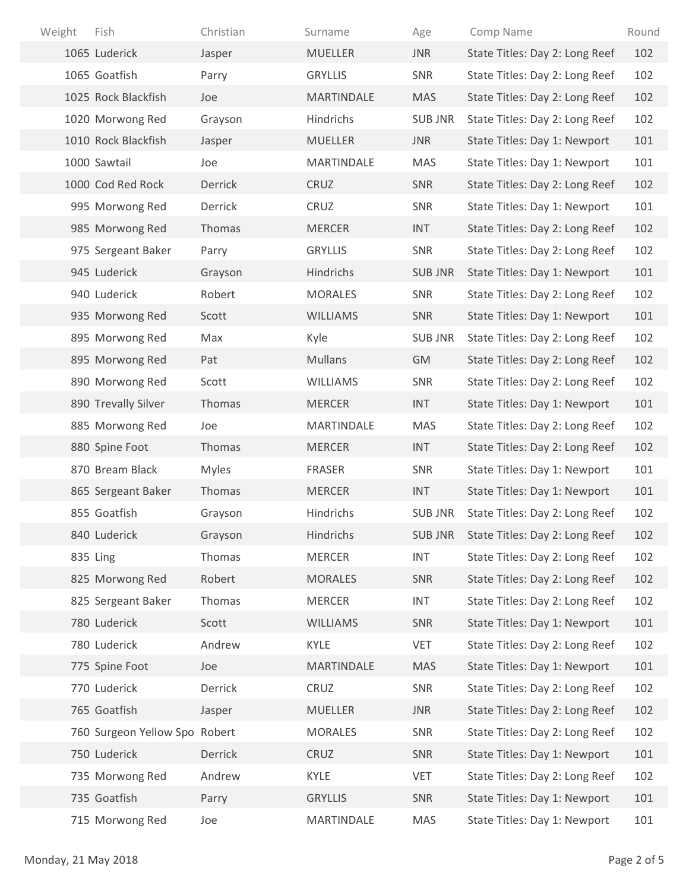| Fish<br>Weight                | Christian    | Surname         | Age            | Comp Name                      | Round       |
|-------------------------------|--------------|-----------------|----------------|--------------------------------|-------------|
| 1065 Luderick                 | Jasper       | <b>MUELLER</b>  | JNR            | State Titles: Day 2: Long Reef | 102         |
| 1065 Goatfish                 | Parry        | <b>GRYLLIS</b>  | SNR            | State Titles: Day 2: Long Reef | 102         |
| 1025 Rock Blackfish           | Joe          | MARTINDALE      | <b>MAS</b>     | State Titles: Day 2: Long Reef | 102         |
| 1020 Morwong Red              | Grayson      | Hindrichs       | <b>SUB JNR</b> | State Titles: Day 2: Long Reef | 102         |
| 1010 Rock Blackfish           | Jasper       | MUELLER         | JNR            | State Titles: Day 1: Newport   | 101         |
| 1000 Sawtail                  | Joe          | MARTINDALE      | MAS            | State Titles: Day 1: Newport   | 101         |
| 1000 Cod Red Rock             | Derrick      | CRUZ            | SNR            | State Titles: Day 2: Long Reef | 102         |
| 995 Morwong Red               | Derrick      | CRUZ            | SNR            | State Titles: Day 1: Newport   | 101         |
| 985 Morwong Red               | Thomas       | <b>MERCER</b>   | <b>INT</b>     | State Titles: Day 2: Long Reef | 102         |
| 975 Sergeant Baker            | Parry        | <b>GRYLLIS</b>  | SNR            | State Titles: Day 2: Long Reef | 102         |
| 945 Luderick                  | Grayson      | Hindrichs       | <b>SUB JNR</b> | State Titles: Day 1: Newport   | 101         |
| 940 Luderick                  | Robert       | MORALES         | SNR            | State Titles: Day 2: Long Reef | 102         |
| 935 Morwong Red               | Scott        | WILLIAMS        | SNR            | State Titles: Day 1: Newport   | 101         |
| 895 Morwong Red               | Max          | Kyle            | <b>SUB JNR</b> | State Titles: Day 2: Long Reef | 102         |
| 895 Morwong Red               | Pat          | Mullans         | GM             | State Titles: Day 2: Long Reef | 102         |
| 890 Morwong Red               | Scott        | <b>WILLIAMS</b> | SNR            | State Titles: Day 2: Long Reef | 102         |
| 890 Trevally Silver           | Thomas       | MERCER          | <b>INT</b>     | State Titles: Day 1: Newport   | 101         |
| 885 Morwong Red               | Joe          | MARTINDALE      | MAS            | State Titles: Day 2: Long Reef | 102         |
| 880 Spine Foot                | Thomas       | <b>MERCER</b>   | <b>INT</b>     | State Titles: Day 2: Long Reef | 102         |
| 870 Bream Black               | <b>Myles</b> | FRASER          | SNR            | State Titles: Day 1: Newport   | 101         |
| 865 Sergeant Baker            | Thomas       | MERCER          | <b>INT</b>     | State Titles: Day 1: Newport   | 101         |
| 855 Goatfish                  | Grayson      | Hindrichs       | <b>SUB JNR</b> | State Titles: Day 2: Long Reef | 102         |
| 840 Luderick                  | Grayson      | Hindrichs       | <b>SUB JNR</b> | State Titles: Day 2: Long Reef | 102         |
| 835 Ling                      | Thomas       | <b>MERCER</b>   | <b>INT</b>     | State Titles: Day 2: Long Reef | 102         |
| 825 Morwong Red               | Robert       | <b>MORALES</b>  | SNR            | State Titles: Day 2: Long Reef | 102         |
| 825 Sergeant Baker            | Thomas       | MERCER          | <b>INT</b>     | State Titles: Day 2: Long Reef | 102         |
| 780 Luderick                  | Scott        | WILLIAMS        | SNR            | State Titles: Day 1: Newport   | 101         |
| 780 Luderick                  | Andrew       | KYLE            | <b>VET</b>     | State Titles: Day 2: Long Reef | 102         |
| 775 Spine Foot                | Joe          | MARTINDALE      | MAS            | State Titles: Day 1: Newport   | 101         |
| 770 Luderick                  | Derrick      | CRUZ            | SNR            | State Titles: Day 2: Long Reef | 102         |
| 765 Goatfish                  | Jasper       | MUELLER         | JNR            | State Titles: Day 2: Long Reef | 102         |
| 760 Surgeon Yellow Spo Robert |              | <b>MORALES</b>  | SNR            | State Titles: Day 2: Long Reef | 102         |
| 750 Luderick                  | Derrick      | CRUZ            | SNR            | State Titles: Day 1: Newport   | 101         |
| 735 Morwong Red               | Andrew       | KYLE            | VET            | State Titles: Day 2: Long Reef | 102         |
| 735 Goatfish                  | Parry        | <b>GRYLLIS</b>  | SNR            | State Titles: Day 1: Newport   | 101         |
| 715 Morwong Red               | Joe          | MARTINDALE      | MAS            | State Titles: Day 1: Newport   | 101         |
| Monday, 21 May 2018           |              |                 |                |                                | Page 2 of 5 |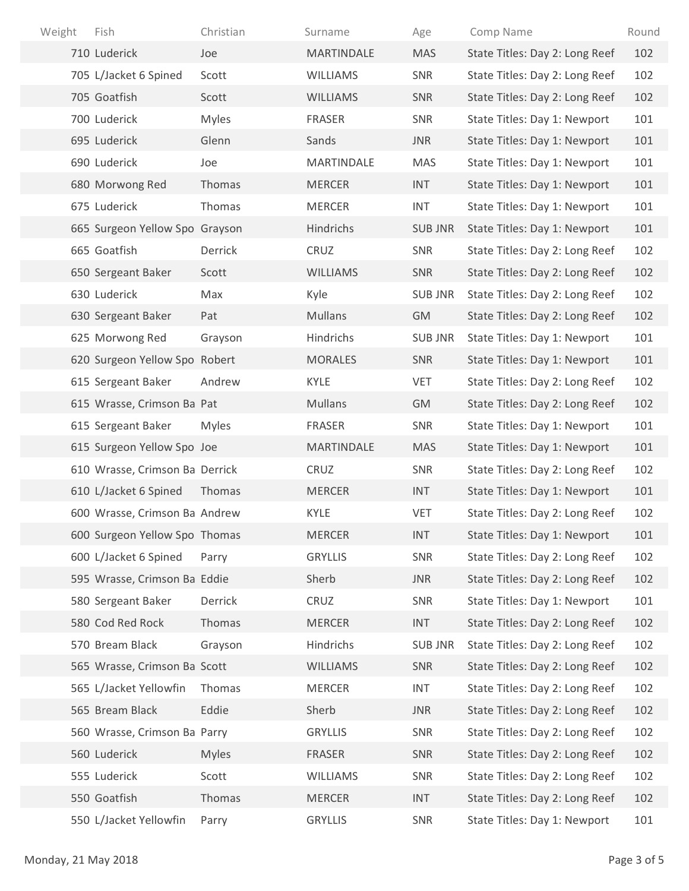| Fish<br>Weight                 | Christian    | Surname        | Age            | Comp Name                      | Round       |
|--------------------------------|--------------|----------------|----------------|--------------------------------|-------------|
| 710 Luderick                   | Joe          | MARTINDALE     | <b>MAS</b>     | State Titles: Day 2: Long Reef | 102         |
| 705 L/Jacket 6 Spined          | Scott        | WILLIAMS       | SNR            | State Titles: Day 2: Long Reef | 102         |
| 705 Goatfish                   | Scott        | WILLIAMS       | SNR            | State Titles: Day 2: Long Reef | 102         |
| 700 Luderick                   | <b>Myles</b> | FRASER         | SNR            | State Titles: Day 1: Newport   | 101         |
| 695 Luderick                   | Glenn        | Sands          | <b>JNR</b>     | State Titles: Day 1: Newport   | 101         |
| 690 Luderick                   | Joe          | MARTINDALE     | MAS            | State Titles: Day 1: Newport   | 101         |
| 680 Morwong Red                | Thomas       | <b>MERCER</b>  | <b>INT</b>     | State Titles: Day 1: Newport   | 101         |
| 675 Luderick                   | Thomas       | MERCER         | <b>INT</b>     | State Titles: Day 1: Newport   | 101         |
| 665 Surgeon Yellow Spo Grayson |              | Hindrichs      | <b>SUB JNR</b> | State Titles: Day 1: Newport   | 101         |
| 665 Goatfish                   | Derrick      | CRUZ           | SNR            | State Titles: Day 2: Long Reef | 102         |
| 650 Sergeant Baker             | Scott        | WILLIAMS       | SNR            | State Titles: Day 2: Long Reef | 102         |
| 630 Luderick                   | Max          | Kyle           | <b>SUB JNR</b> | State Titles: Day 2: Long Reef | 102         |
| 630 Sergeant Baker             | Pat          | Mullans        | GM             | State Titles: Day 2: Long Reef | 102         |
| 625 Morwong Red                | Grayson      | Hindrichs      | <b>SUB JNR</b> | State Titles: Day 1: Newport   | 101         |
| 620 Surgeon Yellow Spo Robert  |              | <b>MORALES</b> | SNR            | State Titles: Day 1: Newport   | 101         |
| 615 Sergeant Baker             | Andrew       | KYLE           | <b>VET</b>     | State Titles: Day 2: Long Reef | 102         |
| 615 Wrasse, Crimson Ba Pat     |              | Mullans        | GM             | State Titles: Day 2: Long Reef | 102         |
| 615 Sergeant Baker             | <b>Myles</b> | FRASER         | SNR            | State Titles: Day 1: Newport   | 101         |
| 615 Surgeon Yellow Spo Joe     |              | MARTINDALE     | <b>MAS</b>     | State Titles: Day 1: Newport   | 101         |
| 610 Wrasse, Crimson Ba Derrick |              | CRUZ           | SNR            | State Titles: Day 2: Long Reef | 102         |
| 610 L/Jacket 6 Spined          | Thomas       | <b>MERCER</b>  | <b>INT</b>     | State Titles: Day 1: Newport   | 101         |
| 600 Wrasse, Crimson Ba Andrew  |              | KYLE           | VET            | State Titles: Day 2: Long Reef | 102         |
| 600 Surgeon Yellow Spo Thomas  |              | <b>MERCER</b>  | <b>INT</b>     | State Titles: Day 1: Newport   | 101         |
| 600 L/Jacket 6 Spined          | Parry        | <b>GRYLLIS</b> | SNR            | State Titles: Day 2: Long Reef | 102         |
| 595 Wrasse, Crimson Ba Eddie   |              | Sherb          | <b>JNR</b>     | State Titles: Day 2: Long Reef | 102         |
| 580 Sergeant Baker             | Derrick      | CRUZ           | SNR            | State Titles: Day 1: Newport   | 101         |
| 580 Cod Red Rock               | Thomas       | <b>MERCER</b>  | <b>INT</b>     | State Titles: Day 2: Long Reef | 102         |
| 570 Bream Black                | Grayson      | Hindrichs      | <b>SUB JNR</b> | State Titles: Day 2: Long Reef | 102         |
| 565 Wrasse, Crimson Ba Scott   |              | WILLIAMS       | SNR            | State Titles: Day 2: Long Reef | 102         |
| 565 L/Jacket Yellowfin         | Thomas       | MERCER         | <b>INT</b>     | State Titles: Day 2: Long Reef | 102         |
| 565 Bream Black                | Eddie        | Sherb          | JNR            | State Titles: Day 2: Long Reef | 102         |
| 560 Wrasse, Crimson Ba Parry   |              | <b>GRYLLIS</b> | SNR            | State Titles: Day 2: Long Reef | 102         |
| 560 Luderick                   | <b>Myles</b> | <b>FRASER</b>  | SNR            | State Titles: Day 2: Long Reef | 102         |
| 555 Luderick                   | Scott        | WILLIAMS       | SNR            | State Titles: Day 2: Long Reef | 102         |
| 550 Goatfish                   | Thomas       | <b>MERCER</b>  | <b>INT</b>     | State Titles: Day 2: Long Reef | 102         |
| 550 L/Jacket Yellowfin         | Parry        | <b>GRYLLIS</b> | SNR            | State Titles: Day 1: Newport   | 101         |
| Monday, 21 May 2018            |              |                |                |                                | Page 3 of 5 |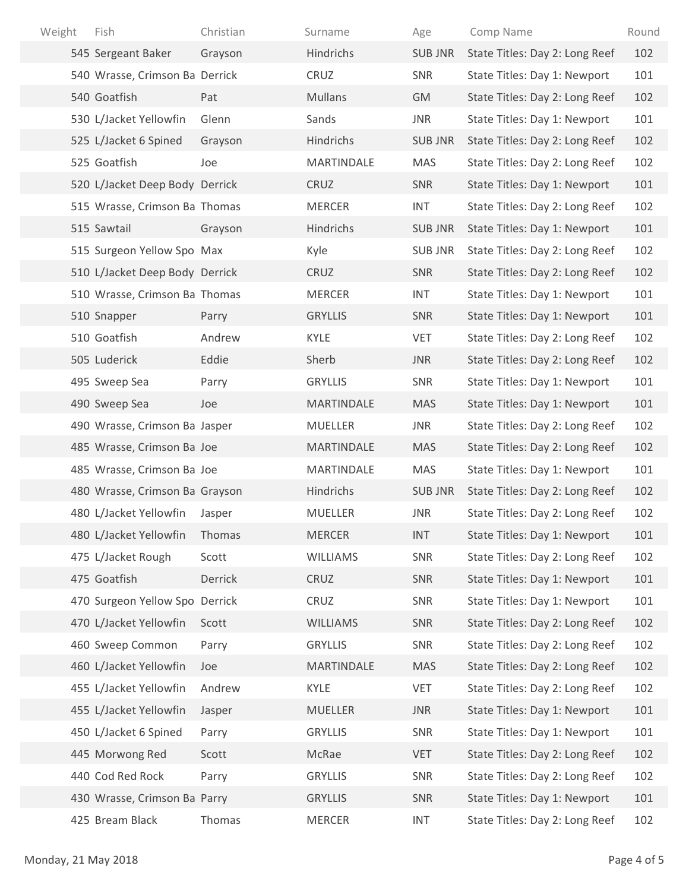| Weight<br>Fish                 | Christian | Surname        | Age            | Comp Name                      | Round       |
|--------------------------------|-----------|----------------|----------------|--------------------------------|-------------|
| 545 Sergeant Baker             | Grayson   | Hindrichs      | <b>SUB JNR</b> | State Titles: Day 2: Long Reef | 102         |
| 540 Wrasse, Crimson Ba Derrick |           | CRUZ           | SNR            | State Titles: Day 1: Newport   | 101         |
| 540 Goatfish                   | Pat       | Mullans        | GM             | State Titles: Day 2: Long Reef | 102         |
| 530 L/Jacket Yellowfin         | Glenn     | Sands          | JNR            | State Titles: Day 1: Newport   | 101         |
| 525 L/Jacket 6 Spined          | Grayson   | Hindrichs      | <b>SUB JNR</b> | State Titles: Day 2: Long Reef | 102         |
| 525 Goatfish                   | Joe       | MARTINDALE     | MAS            | State Titles: Day 2: Long Reef | 102         |
| 520 L/Jacket Deep Body Derrick |           | CRUZ           | SNR            | State Titles: Day 1: Newport   | 101         |
| 515 Wrasse, Crimson Ba Thomas  |           | <b>MERCER</b>  | <b>INT</b>     | State Titles: Day 2: Long Reef | 102         |
| 515 Sawtail                    | Grayson   | Hindrichs      | <b>SUB JNR</b> | State Titles: Day 1: Newport   | 101         |
| 515 Surgeon Yellow Spo Max     |           | Kyle           | SUB JNR        | State Titles: Day 2: Long Reef | 102         |
| 510 L/Jacket Deep Body Derrick |           | CRUZ           | SNR            | State Titles: Day 2: Long Reef | 102         |
| 510 Wrasse, Crimson Ba Thomas  |           | <b>MERCER</b>  | <b>INT</b>     | State Titles: Day 1: Newport   | 101         |
| 510 Snapper                    | Parry     | <b>GRYLLIS</b> | SNR            | State Titles: Day 1: Newport   | 101         |
| 510 Goatfish                   | Andrew    | KYLE           | <b>VET</b>     | State Titles: Day 2: Long Reef | 102         |
| 505 Luderick                   | Eddie     | Sherb          | JNR            | State Titles: Day 2: Long Reef | 102         |
| 495 Sweep Sea                  | Parry     | <b>GRYLLIS</b> | SNR            | State Titles: Day 1: Newport   | 101         |
| 490 Sweep Sea                  | Joe       | MARTINDALE     | MAS            | State Titles: Day 1: Newport   | 101         |
| 490 Wrasse, Crimson Ba Jasper  |           | MUELLER        | JNR            | State Titles: Day 2: Long Reef | 102         |
| 485 Wrasse, Crimson Ba Joe     |           | MARTINDALE     | <b>MAS</b>     | State Titles: Day 2: Long Reef | 102         |
| 485 Wrasse, Crimson Ba Joe     |           | MARTINDALE     | MAS            | State Titles: Day 1: Newport   | 101         |
| 480 Wrasse, Crimson Ba Grayson |           | Hindrichs      | <b>SUB JNR</b> | State Titles: Day 2: Long Reef | 102         |
| 480 L/Jacket Yellowfin Jasper  |           | MUELLER        | <b>JNR</b>     | State Titles: Day 2: Long Reef | 102         |
| 480 L/Jacket Yellowfin Thomas  |           | MERCER         | <b>INT</b>     | State Titles: Day 1: Newport   | 101         |
| 475 L/Jacket Rough             | Scott     | WILLIAMS       | SNR            | State Titles: Day 2: Long Reef | 102         |
| 475 Goatfish                   | Derrick   | CRUZ           | SNR            | State Titles: Day 1: Newport   | 101         |
| 470 Surgeon Yellow Spo Derrick |           | CRUZ           | SNR            | State Titles: Day 1: Newport   | 101         |
| 470 L/Jacket Yellowfin         | Scott     | WILLIAMS       | SNR            | State Titles: Day 2: Long Reef | 102         |
| 460 Sweep Common               | Parry     | <b>GRYLLIS</b> | SNR            | State Titles: Day 2: Long Reef | 102         |
| 460 L/Jacket Yellowfin         | Joe       | MARTINDALE     | MAS            | State Titles: Day 2: Long Reef | 102         |
| 455 L/Jacket Yellowfin         | Andrew    | KYLE           | <b>VET</b>     | State Titles: Day 2: Long Reef | 102         |
| 455 L/Jacket Yellowfin         | Jasper    | MUELLER        | JNR            | State Titles: Day 1: Newport   | 101         |
| 450 L/Jacket 6 Spined          | Parry     | <b>GRYLLIS</b> | SNR            | State Titles: Day 1: Newport   | 101         |
| 445 Morwong Red                | Scott     | McRae          | <b>VET</b>     | State Titles: Day 2: Long Reef | 102         |
| 440 Cod Red Rock               | Parry     | <b>GRYLLIS</b> | SNR            | State Titles: Day 2: Long Reef | 102         |
| 430 Wrasse, Crimson Ba Parry   |           | <b>GRYLLIS</b> | SNR            | State Titles: Day 1: Newport   | 101         |
| 425 Bream Black                | Thomas    | <b>MERCER</b>  | <b>INT</b>     | State Titles: Day 2: Long Reef | 102         |
| Monday, 21 May 2018            |           |                |                |                                | Page 4 of 5 |